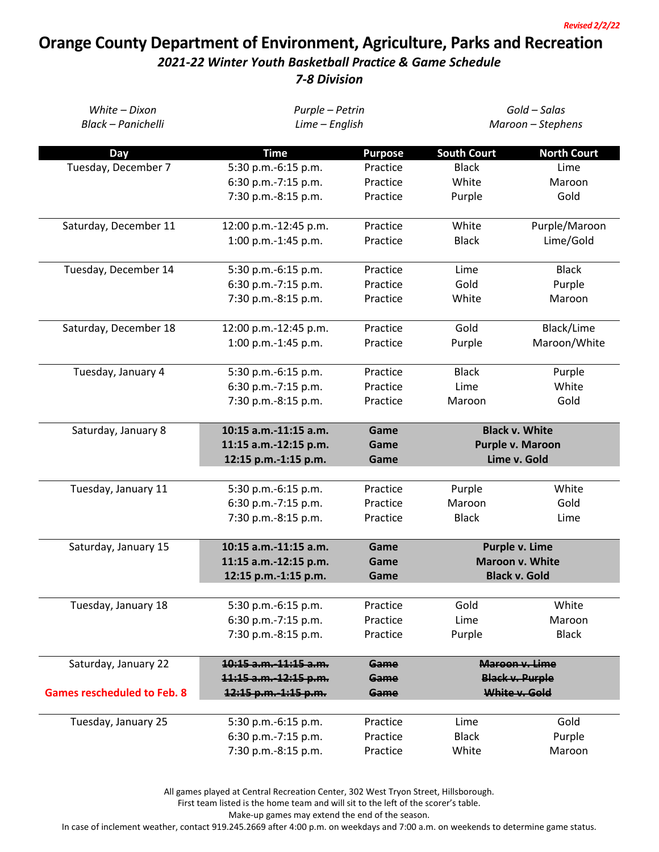## **Orange County Department of Environment, Agriculture, Parks and Recreation**

## *2021-22 Winter Youth Basketball Practice & Game Schedule*

*7-8 Division*

| White - Dixon                      | Purple - Petrin                            |                | Gold - Salas         |                        |  |
|------------------------------------|--------------------------------------------|----------------|----------------------|------------------------|--|
| Black - Panichelli                 | Lime - English                             |                | Maroon - Stephens    |                        |  |
| Day                                | <b>Time</b>                                | <b>Purpose</b> | <b>South Court</b>   | <b>North Court</b>     |  |
| Tuesday, December 7                | 5:30 p.m.-6:15 p.m.                        | Practice       | <b>Black</b>         | Lime                   |  |
|                                    | 6:30 p.m.-7:15 p.m.                        | Practice       | White                | Maroon                 |  |
|                                    | 7:30 p.m.-8:15 p.m.                        | Practice       | Purple               | Gold                   |  |
|                                    |                                            |                |                      |                        |  |
| Saturday, December 11              | 12:00 p.m.-12:45 p.m.                      | Practice       | White                | Purple/Maroon          |  |
|                                    | 1:00 p.m.-1:45 p.m.                        | Practice       | <b>Black</b>         | Lime/Gold              |  |
|                                    | 5:30 p.m.-6:15 p.m.                        | Practice       | Lime                 | <b>Black</b>           |  |
| Tuesday, December 14               |                                            | Practice       | Gold                 |                        |  |
|                                    | 6:30 p.m.-7:15 p.m.                        |                |                      | Purple                 |  |
|                                    | 7:30 p.m.-8:15 p.m.                        | Practice       | White                | Maroon                 |  |
| Saturday, December 18              | 12:00 p.m.-12:45 p.m.                      | Practice       | Gold                 | Black/Lime             |  |
|                                    | 1:00 p.m.-1:45 p.m.                        | Practice       | Purple               | Maroon/White           |  |
|                                    |                                            |                |                      |                        |  |
| Tuesday, January 4                 | 5:30 p.m.-6:15 p.m.                        | Practice       | <b>Black</b>         | Purple                 |  |
|                                    | 6:30 p.m.-7:15 p.m.                        | Practice       | Lime                 | White                  |  |
|                                    | 7:30 p.m.-8:15 p.m.                        | Practice       | Maroon               | Gold                   |  |
|                                    |                                            |                |                      |                        |  |
| Saturday, January 8                | 10:15 a.m.-11:15 a.m.                      | Game           |                      | <b>Black v. White</b>  |  |
|                                    | 11:15 a.m.-12:15 p.m.                      | Game           |                      | Purple v. Maroon       |  |
|                                    | 12:15 p.m.-1:15 p.m.                       | Game           |                      | Lime v. Gold           |  |
| Tuesday, January 11                | 5:30 p.m.-6:15 p.m.                        | Practice       | Purple               | White                  |  |
|                                    |                                            | Practice       | Maroon               | Gold                   |  |
|                                    | 6:30 p.m.-7:15 p.m.<br>7:30 p.m.-8:15 p.m. |                |                      |                        |  |
|                                    |                                            | Practice       | <b>Black</b>         | Lime                   |  |
| Saturday, January 15               | 10:15 a.m.-11:15 a.m.                      | Game           | Purple v. Lime       |                        |  |
|                                    | 11:15 a.m.-12:15 p.m.                      | Game           |                      | Maroon v. White        |  |
|                                    | 12:15 p.m.-1:15 p.m.                       | Game           | <b>Black v. Gold</b> |                        |  |
|                                    |                                            |                |                      |                        |  |
| Tuesday, January 18                | 5:30 p.m.-6:15 p.m.                        | Practice       | Gold                 | White                  |  |
|                                    | 6:30 p.m.-7:15 p.m.                        | Practice       | Lime                 | Maroon                 |  |
|                                    | 7:30 p.m.-8:15 p.m.                        | Practice       | Purple               | <b>Black</b>           |  |
| Saturday, January 22               | 10:15 a.m. 11:15 a.m.                      | Game           |                      | Maroon v. Lime         |  |
|                                    | 11:15 a.m. 12:15 p.m.                      | Game           |                      | <b>Black v. Purple</b> |  |
| <b>Games rescheduled to Feb. 8</b> | 12:15 p.m.-1:15 p.m.                       | Game           |                      | White v. Gold          |  |
|                                    |                                            |                |                      |                        |  |
| Tuesday, January 25                | 5:30 p.m.-6:15 p.m.                        | Practice       | Lime                 | Gold                   |  |
|                                    | 6:30 p.m.-7:15 p.m.                        | Practice       | <b>Black</b>         | Purple                 |  |
|                                    | 7:30 p.m.-8:15 p.m.                        | Practice       | White                | Maroon                 |  |

All games played at Central Recreation Center, 302 West Tryon Street, Hillsborough.

First team listed is the home team and will sit to the left of the scorer's table.

Make-up games may extend the end of the season.

In case of inclement weather, contact 919.245.2669 after 4:00 p.m. on weekdays and 7:00 a.m. on weekends to determine game status.